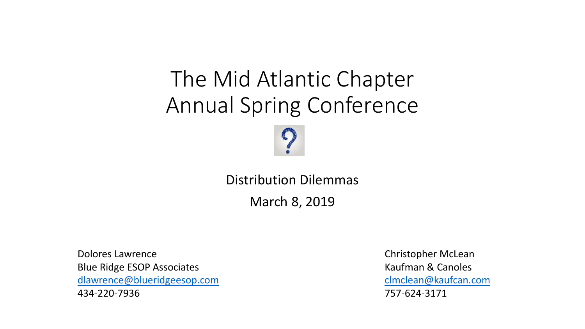### The Mid Atlantic Chapter Annual Spring Conference



Distribution Dilemmas

March 8, 2019

Dolores Lawrence **Christopher McLean** Blue Ridge ESOP Associates **Kaufman & Canoles** [dlawrence@blueridgeesop.com](mailto:dlawrence@blueridgeesop.com) [clmclean@kaufcan.com](mailto:clmclean@kaufcan.com) 434-220-7936 757-624-3171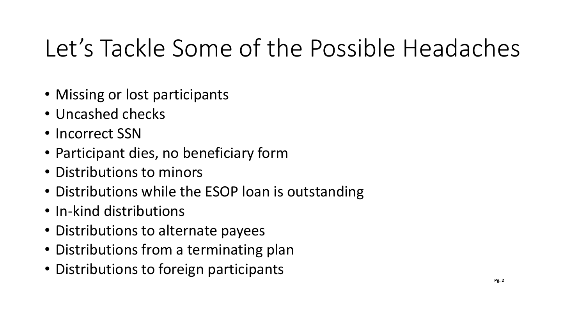# Let's Tackle Some of the Possible Headaches

- Missing or lost participants
- Uncashed checks
- Incorrect SSN
- Participant dies, no beneficiary form
- Distributions to minors
- Distributions while the ESOP loan is outstanding
- In-kind distributions
- Distributions to alternate payees
- Distributions from a terminating plan
- Distributions to foreign participants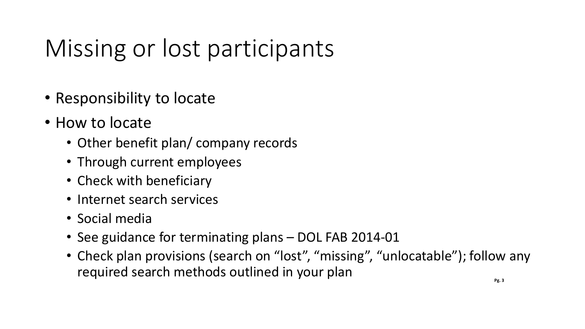# Missing or lost participants

- Responsibility to locate
- How to locate
	- Other benefit plan/ company records
	- Through current employees
	- Check with beneficiary
	- Internet search services
	- Social media
	- See guidance for terminating plans DOL FAB 2014-01
	- Check plan provisions (search on "lost", "missing", "unlocatable"); follow any required search methods outlined in your plan **PRACE**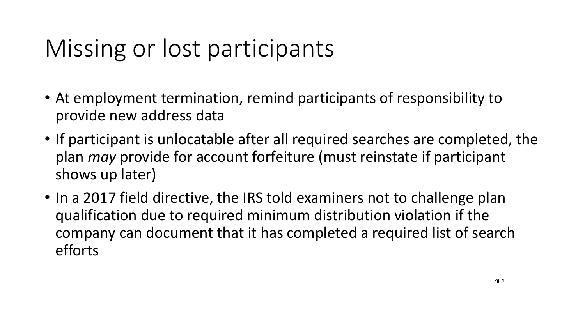# Missing or lost participants

- At employment termination, remind participants of responsibility to provide new address data
- If participant is unlocatable after all required searches are completed, the plan *may* provide for account forfeiture (must reinstate if participant shows up later)
- In a 2017 field directive, the IRS told examiners not to challenge plan qualification due to required minimum distribution violation if the company can document that it has completed a required list of search efforts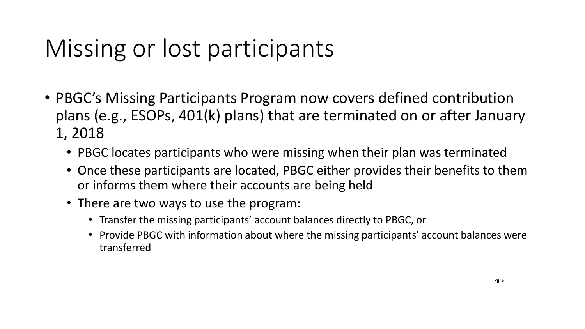# Missing or lost participants

- PBGC's Missing Participants Program now covers defined contribution plans (e.g., ESOPs, 401(k) plans) that are terminated on or after January 1, 2018
	- PBGC locates participants who were missing when their plan was terminated
	- Once these participants are located, PBGC either provides their benefits to them or informs them where their accounts are being held
	- There are two ways to use the program:
		- Transfer the missing participants' account balances directly to PBGC, or
		- Provide PBGC with information about where the missing participants' account balances were transferred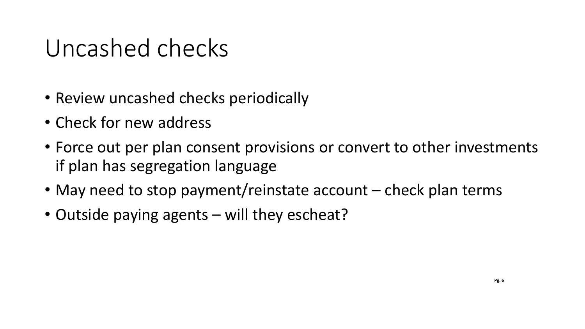### Uncashed checks

- Review uncashed checks periodically
- Check for new address
- Force out per plan consent provisions or convert to other investments if plan has segregation language
- May need to stop payment/reinstate account check plan terms
- Outside paying agents will they escheat?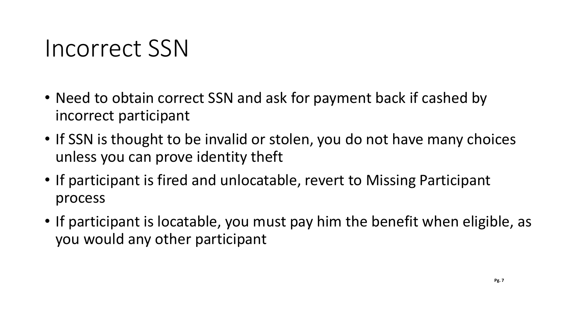#### Incorrect SSN

- Need to obtain correct SSN and ask for payment back if cashed by incorrect participant
- If SSN is thought to be invalid or stolen, you do not have many choices unless you can prove identity theft
- If participant is fired and unlocatable, revert to Missing Participant process
- If participant is locatable, you must pay him the benefit when eligible, as you would any other participant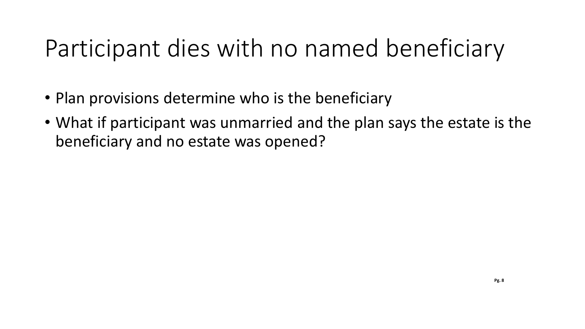# Participant dies with no named beneficiary

- Plan provisions determine who is the beneficiary
- What if participant was unmarried and the plan says the estate is the beneficiary and no estate was opened?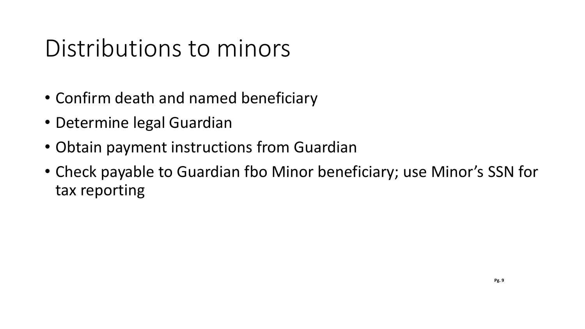### Distributions to minors

- Confirm death and named beneficiary
- Determine legal Guardian
- Obtain payment instructions from Guardian
- Check payable to Guardian fbo Minor beneficiary; use Minor's SSN for tax reporting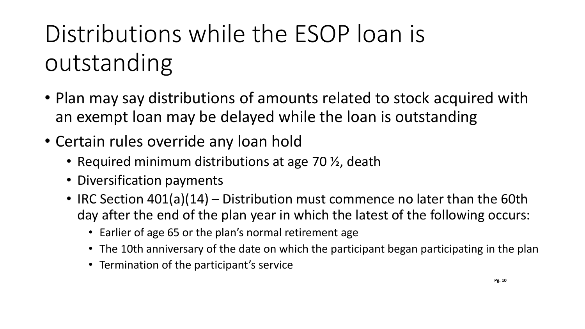# Distributions while the ESOP loan is outstanding

- Plan may say distributions of amounts related to stock acquired with an exempt loan may be delayed while the loan is outstanding
- Certain rules override any loan hold
	- Required minimum distributions at age 70  $\frac{1}{2}$ , death
	- Diversification payments
	- IRC Section 401(a)(14) Distribution must commence no later than the 60th day after the end of the plan year in which the latest of the following occurs:
		- Earlier of age 65 or the plan's normal retirement age
		- The 10th anniversary of the date on which the participant began participating in the plan
		- Termination of the participant's service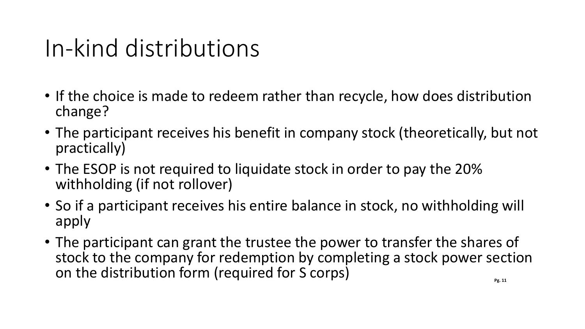### In-kind distributions

- If the choice is made to redeem rather than recycle, how does distribution change?
- The participant receives his benefit in company stock (theoretically, but not practically)
- The ESOP is not required to liquidate stock in order to pay the 20% withholding (if not rollover)
- So if a participant receives his entire balance in stock, no withholding will apply
- The participant can grant the trustee the power to transfer the shares of stock to the company for redemption by completing a stock power section on the distribution form (required for S corps)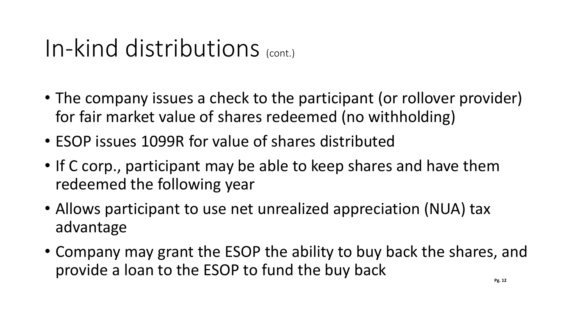### In-kind distributions (cont.)

- The company issues a check to the participant (or rollover provider) for fair market value of shares redeemed (no withholding)
- ESOP issues 1099R for value of shares distributed
- If C corp., participant may be able to keep shares and have them redeemed the following year
- Allows participant to use net unrealized appreciation (NUA) tax advantage
- Company may grant the ESOP the ability to buy back the shares, and provide a loan to the ESOP to fund the buy back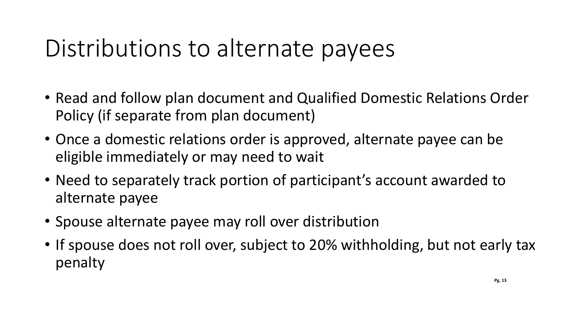### Distributions to alternate payees

- Read and follow plan document and Qualified Domestic Relations Order Policy (if separate from plan document)
- Once a domestic relations order is approved, alternate payee can be eligible immediately or may need to wait
- Need to separately track portion of participant's account awarded to alternate payee
- Spouse alternate payee may roll over distribution
- If spouse does not roll over, subject to 20% withholding, but not early tax penalty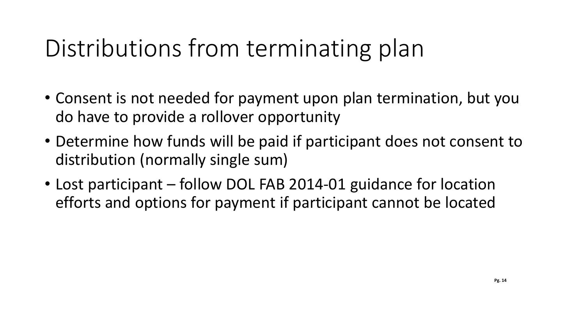## Distributions from terminating plan

- Consent is not needed for payment upon plan termination, but you do have to provide a rollover opportunity
- Determine how funds will be paid if participant does not consent to distribution (normally single sum)
- Lost participant follow DOL FAB 2014-01 guidance for location efforts and options for payment if participant cannot be located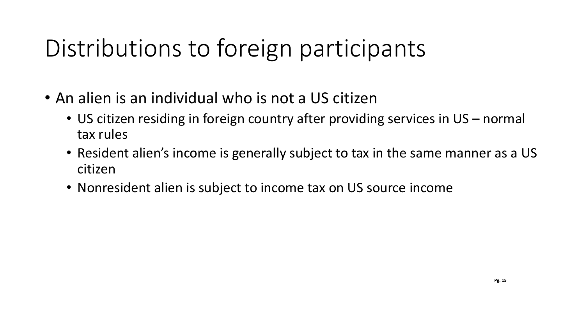# Distributions to foreign participants

- An alien is an individual who is not a US citizen
	- US citizen residing in foreign country after providing services in US normal tax rules
	- Resident alien's income is generally subject to tax in the same manner as a US citizen
	- Nonresident alien is subject to income tax on US source income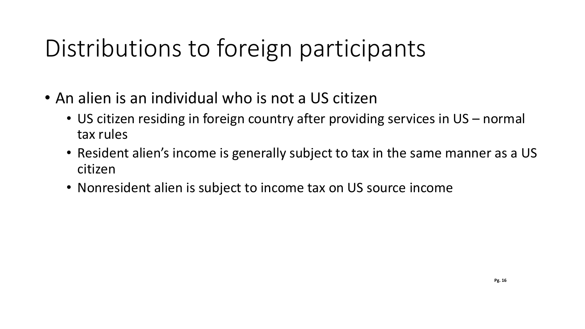# Distributions to foreign participants

- An alien is an individual who is not a US citizen
	- US citizen residing in foreign country after providing services in US normal tax rules
	- Resident alien's income is generally subject to tax in the same manner as a US citizen
	- Nonresident alien is subject to income tax on US source income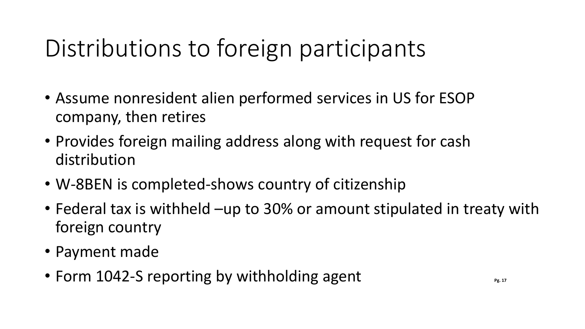# Distributions to foreign participants

- Assume nonresident alien performed services in US for ESOP company, then retires
- Provides foreign mailing address along with request for cash distribution
- W-8BEN is completed-shows country of citizenship
- Federal tax is withheld –up to 30% or amount stipulated in treaty with foreign country
- Payment made
- Form 1042-S reporting by withholding agent **Pagent**